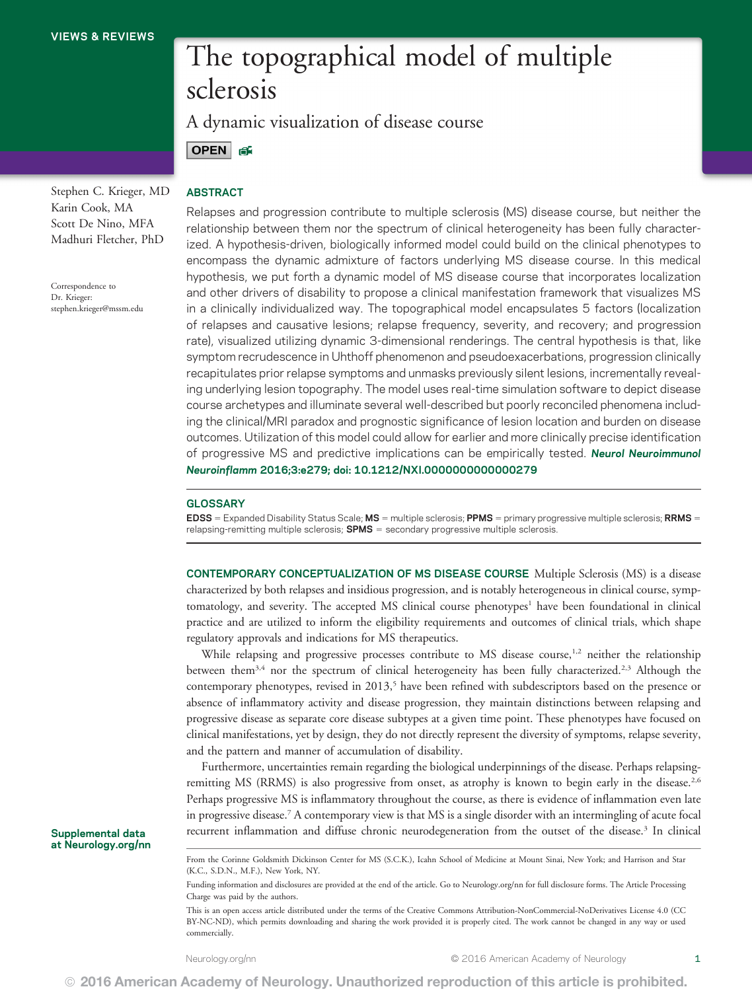The topographical model of multiple sclerosis

A dynamic visualization of disease course

OPEN 6

Stephen C. Krieger, MD Karin Cook, MA Scott De Nino, MFA Madhuri Fletcher, PhD

Correspondence to Dr. Krieger: [stephen.krieger@mssm.edu](mailto:stephen.krieger@mssm.edu)

# ABSTRACT

Relapses and progression contribute to multiple sclerosis (MS) disease course, but neither the relationship between them nor the spectrum of clinical heterogeneity has been fully characterized. A hypothesis-driven, biologically informed model could build on the clinical phenotypes to encompass the dynamic admixture of factors underlying MS disease course. In this medical hypothesis, we put forth a dynamic model of MS disease course that incorporates localization and other drivers of disability to propose a clinical manifestation framework that visualizes MS in a clinically individualized way. The topographical model encapsulates 5 factors (localization of relapses and causative lesions; relapse frequency, severity, and recovery; and progression rate), visualized utilizing dynamic 3-dimensional renderings. The central hypothesis is that, like symptom recrudescence in Uhthoff phenomenon and pseudoexacerbations, progression clinically recapitulates prior relapse symptoms and unmasks previously silent lesions, incrementally revealing underlying lesion topography. The model uses real-time simulation software to depict disease course archetypes and illuminate several well-described but poorly reconciled phenomena including the clinical/MRI paradox and prognostic significance of lesion location and burden on disease outcomes. Utilization of this model could allow for earlier and more clinically precise identification of progressive MS and predictive implications can be empirically tested. Neurol Neuroimmunol Neuroinflamm 2016;3:e279; doi: 10.1212/NXI.0000000000000279

## **GLOSSARY**

**EDSS** = Expanded Disability Status Scale;  $MS$  = multiple sclerosis; PPMS = primary progressive multiple sclerosis; RRMS =  $relapsing-remitting multiple solerosis; SPMS = secondary progressive multiple solerosis.$ 

CONTEMPORARY CONCEPTUALIZATION OF MS DISEASE COURSE Multiple Sclerosis (MS) is a disease characterized by both relapses and insidious progression, and is notably heterogeneous in clinical course, symptomatology, and severity. The accepted MS clinical course phenotypes<sup>1</sup> have been foundational in clinical practice and are utilized to inform the eligibility requirements and outcomes of clinical trials, which shape regulatory approvals and indications for MS therapeutics.

While relapsing and progressive processes contribute to MS disease course,<sup>1,2</sup> neither the relationship between them<sup>3,4</sup> nor the spectrum of clinical heterogeneity has been fully characterized.<sup>2,3</sup> Although the contemporary phenotypes, revised in 2013,<sup>5</sup> have been refined with subdescriptors based on the presence or absence of inflammatory activity and disease progression, they maintain distinctions between relapsing and progressive disease as separate core disease subtypes at a given time point. These phenotypes have focused on clinical manifestations, yet by design, they do not directly represent the diversity of symptoms, relapse severity, and the pattern and manner of accumulation of disability.

Furthermore, uncertainties remain regarding the biological underpinnings of the disease. Perhaps relapsingremitting MS (RRMS) is also progressive from onset, as atrophy is known to begin early in the disease.<sup>2,6</sup> Perhaps progressive MS is inflammatory throughout the course, as there is evidence of inflammation even late in progressive disease.7 A contemporary view is that MS is a single disorder with an intermingling of acute focal recurrent inflammation and diffuse chronic neurodegeneration from the outset of the disease.<sup>3</sup> In clinical

Supplemental data at [Neurology.org/nn](http://nn.neurology.org/lookup/doi/10.1212/NXI.0000000000000279)

From the Corinne Goldsmith Dickinson Center for MS (S.C.K.), Icahn School of Medicine at Mount Sinai, New York; and Harrison and Star (K.C., S.D.N., M.F.), New York, NY.

Funding information and disclosures are provided at the end of the article. Go to [Neurology.org/nn](http://nn.neurology.org/lookup/doi/10.1212/NXI.0000000000000279) for full disclosure forms. The Article Processing Charge was paid by the authors.

This is an open access article distributed under the terms of the [Creative Commons Attribution-NonCommercial-NoDerivatives License 4.0 \(CC](http://creativecommons.org/licenses/by-nc-nd/4.0/) [BY-NC-ND\)](http://creativecommons.org/licenses/by-nc-nd/4.0/), which permits downloading and sharing the work provided it is properly cited. The work cannot be changed in any way or used commercially.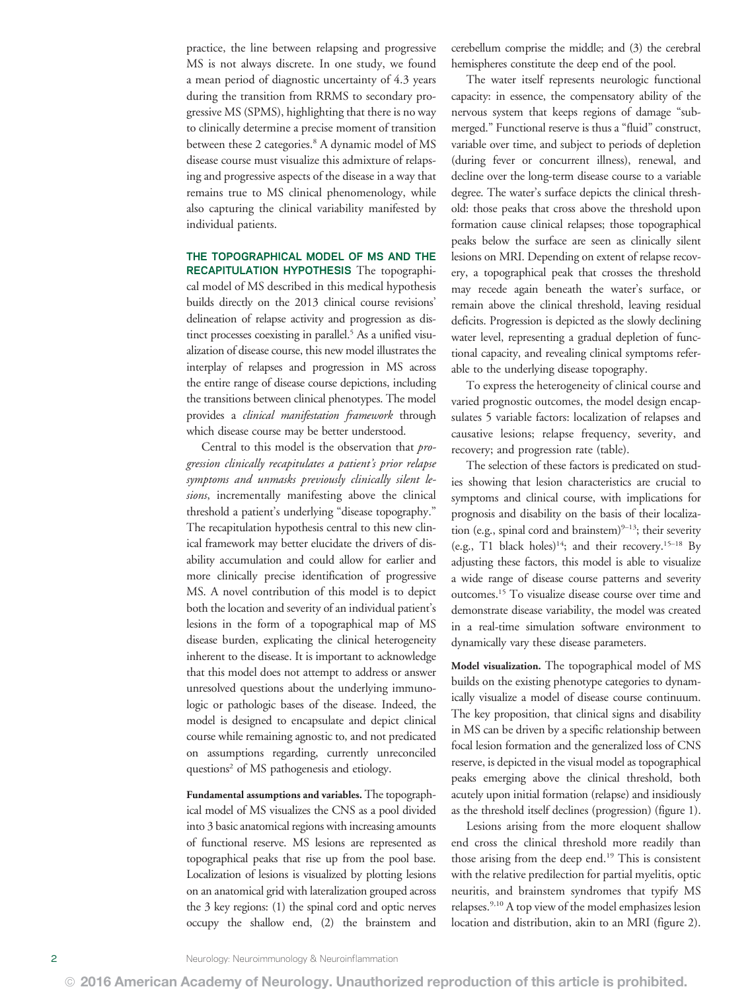practice, the line between relapsing and progressive MS is not always discrete. In one study, we found a mean period of diagnostic uncertainty of 4.3 years during the transition from RRMS to secondary progressive MS (SPMS), highlighting that there is no way to clinically determine a precise moment of transition between these 2 categories.<sup>8</sup> A dynamic model of MS disease course must visualize this admixture of relapsing and progressive aspects of the disease in a way that remains true to MS clinical phenomenology, while also capturing the clinical variability manifested by individual patients.

THE TOPOGRAPHICAL MODEL OF MS AND THE RECAPITULATION HYPOTHESIS The topographical model of MS described in this medical hypothesis builds directly on the 2013 clinical course revisions' delineation of relapse activity and progression as distinct processes coexisting in parallel.<sup>5</sup> As a unified visualization of disease course, this new model illustrates the interplay of relapses and progression in MS across the entire range of disease course depictions, including the transitions between clinical phenotypes. The model provides a clinical manifestation framework through which disease course may be better understood.

Central to this model is the observation that *pro*gression clinically recapitulates a patient's prior relapse symptoms and unmasks previously clinically silent lesions, incrementally manifesting above the clinical threshold a patient's underlying "disease topography." The recapitulation hypothesis central to this new clinical framework may better elucidate the drivers of disability accumulation and could allow for earlier and more clinically precise identification of progressive MS. A novel contribution of this model is to depict both the location and severity of an individual patient's lesions in the form of a topographical map of MS disease burden, explicating the clinical heterogeneity inherent to the disease. It is important to acknowledge that this model does not attempt to address or answer unresolved questions about the underlying immunologic or pathologic bases of the disease. Indeed, the model is designed to encapsulate and depict clinical course while remaining agnostic to, and not predicated on assumptions regarding, currently unreconciled questions<sup>2</sup> of MS pathogenesis and etiology.

Fundamental assumptions and variables. The topographical model of MS visualizes the CNS as a pool divided into 3 basic anatomical regions with increasing amounts of functional reserve. MS lesions are represented as topographical peaks that rise up from the pool base. Localization of lesions is visualized by plotting lesions on an anatomical grid with lateralization grouped across the 3 key regions: (1) the spinal cord and optic nerves occupy the shallow end, (2) the brainstem and cerebellum comprise the middle; and (3) the cerebral hemispheres constitute the deep end of the pool.

The water itself represents neurologic functional capacity: in essence, the compensatory ability of the nervous system that keeps regions of damage "submerged." Functional reserve is thus a "fluid" construct, variable over time, and subject to periods of depletion (during fever or concurrent illness), renewal, and decline over the long-term disease course to a variable degree. The water's surface depicts the clinical threshold: those peaks that cross above the threshold upon formation cause clinical relapses; those topographical peaks below the surface are seen as clinically silent lesions on MRI. Depending on extent of relapse recovery, a topographical peak that crosses the threshold may recede again beneath the water's surface, or remain above the clinical threshold, leaving residual deficits. Progression is depicted as the slowly declining water level, representing a gradual depletion of functional capacity, and revealing clinical symptoms referable to the underlying disease topography.

To express the heterogeneity of clinical course and varied prognostic outcomes, the model design encapsulates 5 variable factors: localization of relapses and causative lesions; relapse frequency, severity, and recovery; and progression rate (table).

The selection of these factors is predicated on studies showing that lesion characteristics are crucial to symptoms and clinical course, with implications for prognosis and disability on the basis of their localization (e.g., spinal cord and brainstem) $9-13$ ; their severity (e.g., T1 black holes)<sup>14</sup>; and their recovery.<sup>15-18</sup> By adjusting these factors, this model is able to visualize a wide range of disease course patterns and severity outcomes.15 To visualize disease course over time and demonstrate disease variability, the model was created in a real-time simulation software environment to dynamically vary these disease parameters.

Model visualization. The topographical model of MS builds on the existing phenotype categories to dynamically visualize a model of disease course continuum. The key proposition, that clinical signs and disability in MS can be driven by a specific relationship between focal lesion formation and the generalized loss of CNS reserve, is depicted in the visual model as topographical peaks emerging above the clinical threshold, both acutely upon initial formation (relapse) and insidiously as the threshold itself declines (progression) (figure 1).

Lesions arising from the more eloquent shallow end cross the clinical threshold more readily than those arising from the deep end.<sup>19</sup> This is consistent with the relative predilection for partial myelitis, optic neuritis, and brainstem syndromes that typify MS relapses.9,10 A top view of the model emphasizes lesion location and distribution, akin to an MRI (figure 2).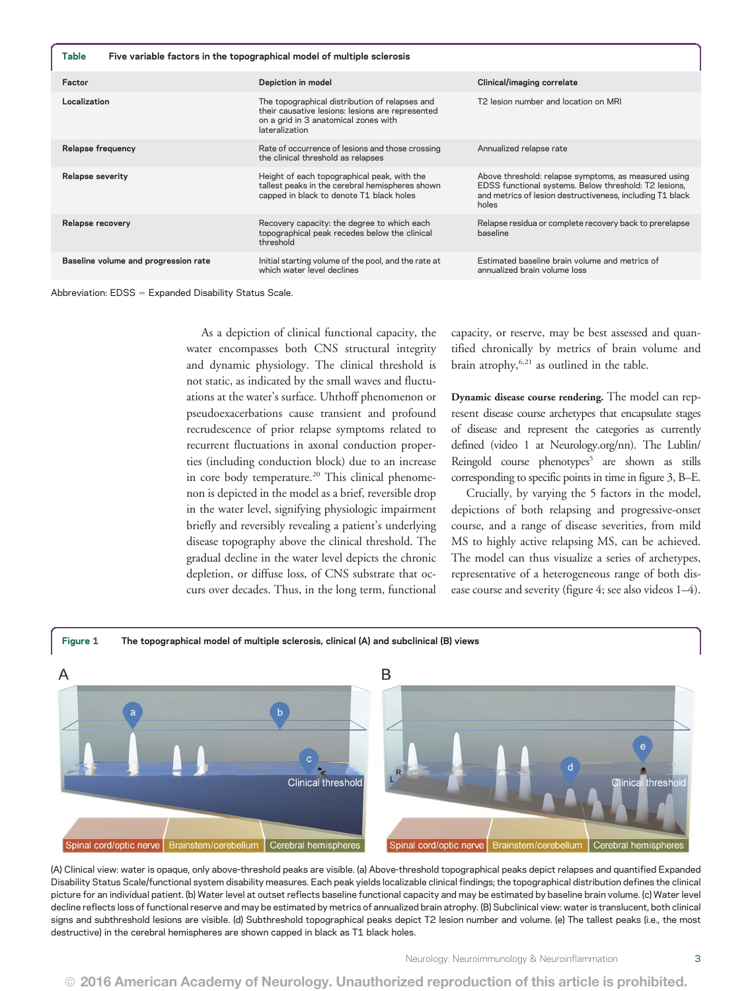| Table<br>Five variable factors in the topographical model of multiple sclerosis |                                                                                                                                                              |                                                                                                                                                                                     |
|---------------------------------------------------------------------------------|--------------------------------------------------------------------------------------------------------------------------------------------------------------|-------------------------------------------------------------------------------------------------------------------------------------------------------------------------------------|
| Factor                                                                          | Depiction in model                                                                                                                                           | Clinical/imaging correlate                                                                                                                                                          |
| Localization                                                                    | The topographical distribution of relapses and<br>their causative lesions: lesions are represented<br>on a grid in 3 anatomical zones with<br>lateralization | T2 lesion number and location on MRI                                                                                                                                                |
| Relapse frequency                                                               | Rate of occurrence of lesions and those crossing<br>the clinical threshold as relapses                                                                       | Annualized relapse rate                                                                                                                                                             |
| <b>Relapse severity</b>                                                         | Height of each topographical peak, with the<br>tallest peaks in the cerebral hemispheres shown<br>capped in black to denote T1 black holes                   | Above threshold: relapse symptoms, as measured using<br>EDSS functional systems. Below threshold: T2 lesions,<br>and metrics of lesion destructiveness, including T1 black<br>holes |
| Relapse recovery                                                                | Recovery capacity: the degree to which each<br>topographical peak recedes below the clinical<br>threshold                                                    | Relapse residua or complete recovery back to prerelapse<br>baseline                                                                                                                 |
| Baseline volume and progression rate                                            | Initial starting volume of the pool, and the rate at<br>which water level declines                                                                           | Estimated baseline brain volume and metrics of<br>annualized brain volume loss                                                                                                      |

Abbreviation:  $EDSS =$  Expanded Disability Status Scale.

As a depiction of clinical functional capacity, the water encompasses both CNS structural integrity and dynamic physiology. The clinical threshold is not static, as indicated by the small waves and fluctuations at the water's surface. Uhthoff phenomenon or pseudoexacerbations cause transient and profound recrudescence of prior relapse symptoms related to recurrent fluctuations in axonal conduction properties (including conduction block) due to an increase in core body temperature.<sup>20</sup> This clinical phenomenon is depicted in the model as a brief, reversible drop in the water level, signifying physiologic impairment briefly and reversibly revealing a patient's underlying disease topography above the clinical threshold. The gradual decline in the water level depicts the chronic depletion, or diffuse loss, of CNS substrate that occurs over decades. Thus, in the long term, functional capacity, or reserve, may be best assessed and quantified chronically by metrics of brain volume and brain atrophy, $6,21$  as outlined in the table.

Dynamic disease course rendering. The model can represent disease course archetypes that encapsulate stages of disease and represent the categories as currently defined (video 1 at [Neurology.org/nn\)](http://nn.neurology.org/lookup/doi/10.1212/NXI.0000000000000279). The Lublin/ Reingold course phenotypes<sup>5</sup> are shown as stills corresponding to specific points in time in figure 3, B–E.

Crucially, by varying the 5 factors in the model, depictions of both relapsing and progressive-onset course, and a range of disease severities, from mild MS to highly active relapsing MS, can be achieved. The model can thus visualize a series of archetypes, representative of a heterogeneous range of both disease course and severity (figure 4; see also videos 1–4).



(A) Clinical view: water is opaque, only above-threshold peaks are visible. (a) Above-threshold topographical peaks depict relapses and quantified Expanded Disability Status Scale/functional system disability measures. Each peak yields localizable clinical findings; the topographical distribution defines the clinical picture for an individual patient. (b) Water level at outset reflects baseline functional capacity and may be estimated by baseline brain volume. (c) Water level decline reflects loss of functional reserve and may be estimated by metrics of annualized brain atrophy. (B) Subclinical view: water is translucent, both clinical signs and subthreshold lesions are visible. (d) Subthreshold topographical peaks depict T2 lesion number and volume. (e) The tallest peaks (i.e., the most destructive) in the cerebral hemispheres are shown capped in black as T1 black holes.

Neurology: Neuroimmunology & Neuroinflammation 3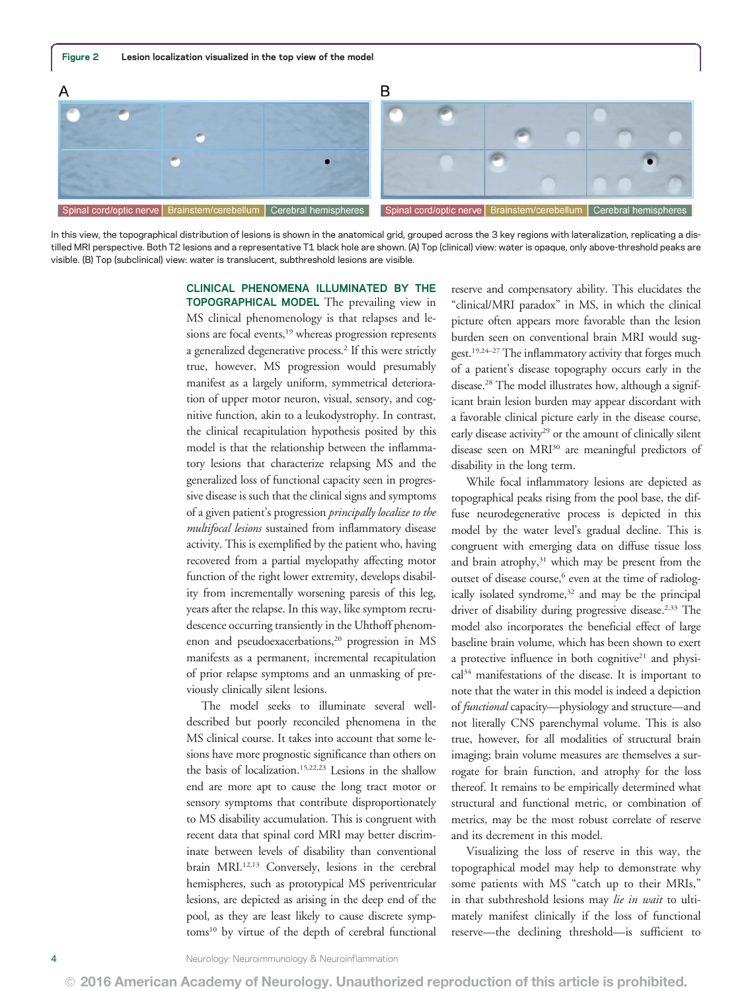Figure 2 Lesion localization visualized in the top view of the model B Spinal cord/optic nerve | Brain

In this view, the topographical distribution of lesions is shown in the anatomical grid, grouped across the 3 key regions with lateralization, replicating a distilled MRI perspective. Both T2 lesions and a representative T1 black hole are shown. (A) Top (clinical) view: water is opaque, only above-threshold peaks are visible. (B) Top (subclinical) view: water is translucent, subthreshold lesions are visible.

# CLINICAL PHENOMENA ILLUMINATED BY THE

TOPOGRAPHICAL MODEL The prevailing view in MS clinical phenomenology is that relapses and lesions are focal events,<sup>19</sup> whereas progression represents a generalized degenerative process.<sup>2</sup> If this were strictly true, however, MS progression would presumably manifest as a largely uniform, symmetrical deterioration of upper motor neuron, visual, sensory, and cognitive function, akin to a leukodystrophy. In contrast, the clinical recapitulation hypothesis posited by this model is that the relationship between the inflammatory lesions that characterize relapsing MS and the generalized loss of functional capacity seen in progressive disease is such that the clinical signs and symptoms of a given patient's progression principally localize to the multifocal lesions sustained from inflammatory disease activity. This is exemplified by the patient who, having recovered from a partial myelopathy affecting motor function of the right lower extremity, develops disability from incrementally worsening paresis of this leg, years after the relapse. In this way, like symptom recrudescence occurring transiently in the Uhthoff phenomenon and pseudoexacerbations,<sup>20</sup> progression in MS manifests as a permanent, incremental recapitulation of prior relapse symptoms and an unmasking of previously clinically silent lesions.

The model seeks to illuminate several welldescribed but poorly reconciled phenomena in the MS clinical course. It takes into account that some lesions have more prognostic significance than others on the basis of localization.15,22,23 Lesions in the shallow end are more apt to cause the long tract motor or sensory symptoms that contribute disproportionately to MS disability accumulation. This is congruent with recent data that spinal cord MRI may better discriminate between levels of disability than conventional brain MRI.12,13 Conversely, lesions in the cerebral hemispheres, such as prototypical MS periventricular lesions, are depicted as arising in the deep end of the pool, as they are least likely to cause discrete symptoms10 by virtue of the depth of cerebral functional reserve and compensatory ability. This elucidates the "clinical/MRI paradox" in MS, in which the clinical picture often appears more favorable than the lesion burden seen on conventional brain MRI would suggest.19,24–<sup>27</sup> The inflammatory activity that forges much of a patient's disease topography occurs early in the disease.28 The model illustrates how, although a significant brain lesion burden may appear discordant with a favorable clinical picture early in the disease course, early disease activity<sup>29</sup> or the amount of clinically silent disease seen on MRI<sup>30</sup> are meaningful predictors of disability in the long term.

While focal inflammatory lesions are depicted as topographical peaks rising from the pool base, the diffuse neurodegenerative process is depicted in this model by the water level's gradual decline. This is congruent with emerging data on diffuse tissue loss and brain atrophy, $31$  which may be present from the outset of disease course,<sup>6</sup> even at the time of radiologically isolated syndrome,<sup>32</sup> and may be the principal driver of disability during progressive disease.<sup>2,33</sup> The model also incorporates the beneficial effect of large baseline brain volume, which has been shown to exert a protective influence in both cognitive<sup>21</sup> and physical34 manifestations of the disease. It is important to note that the water in this model is indeed a depiction of *functional* capacity—physiology and structure—and not literally CNS parenchymal volume. This is also true, however, for all modalities of structural brain imaging; brain volume measures are themselves a surrogate for brain function, and atrophy for the loss thereof. It remains to be empirically determined what structural and functional metric, or combination of metrics, may be the most robust correlate of reserve and its decrement in this model.

Visualizing the loss of reserve in this way, the topographical model may help to demonstrate why some patients with MS "catch up to their MRIs," in that subthreshold lesions may lie in wait to ultimately manifest clinically if the loss of functional reserve—the declining threshold—is sufficient to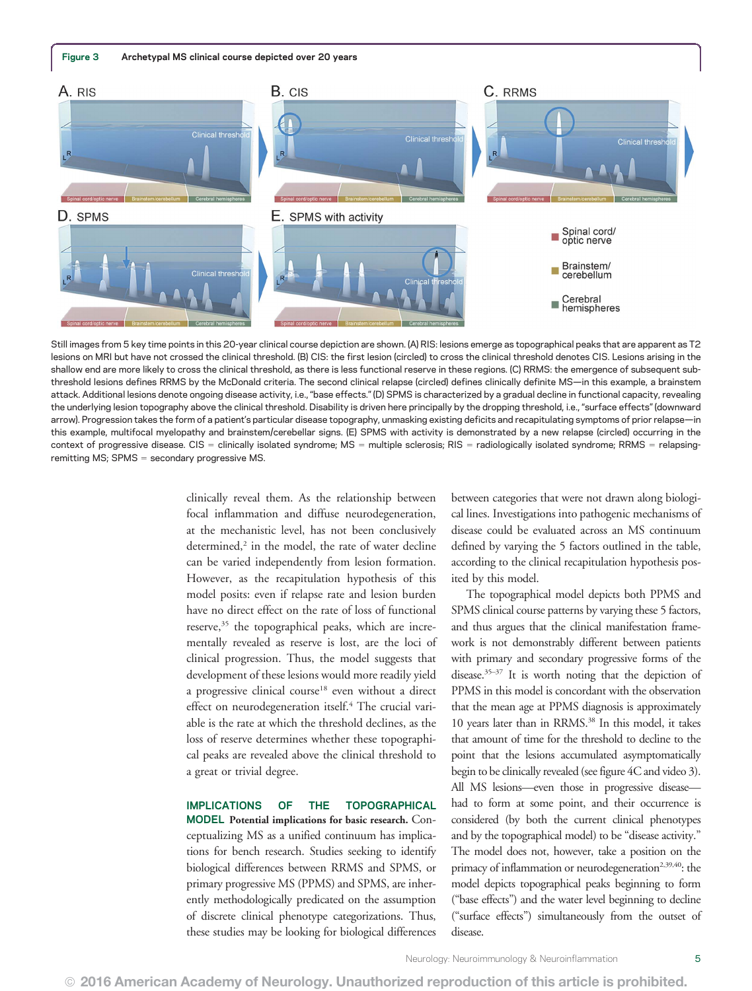

Still images from 5 key time points in this 20-year clinical course depiction are shown. (A) RIS: lesions emerge as topographical peaks that are apparent as T2 lesions on MRI but have not crossed the clinical threshold. (B) CIS: the first lesion (circled) to cross the clinical threshold denotes CIS. Lesions arising in the shallow end are more likely to cross the clinical threshold, as there is less functional reserve in these regions. (C) RRMS: the emergence of subsequent subthreshold lesions defines RRMS by the McDonald criteria. The second clinical relapse (circled) defines clinically definite MS—in this example, a brainstem attack. Additional lesions denote ongoing disease activity, i.e., "base effects." (D) SPMS is characterized by a gradual decline in functional capacity, revealing the underlying lesion topography above the clinical threshold. Disability is driven here principally by the dropping threshold, i.e., "surface effects" (downward arrow). Progression takes the form of a patient's particular disease topography, unmasking existing deficits and recapitulating symptoms of prior relapse—in this example, multifocal myelopathy and brainstem/cerebellar signs. (E) SPMS with activity is demonstrated by a new relapse (circled) occurring in the context of progressive disease. CIS = clinically isolated syndrome; MS = multiple sclerosis; RIS = radiologically isolated syndrome; RRMS = relapsingremitting MS;  $SPMS =$  secondary progressive MS.

clinically reveal them. As the relationship between focal inflammation and diffuse neurodegeneration, at the mechanistic level, has not been conclusively determined,<sup>2</sup> in the model, the rate of water decline can be varied independently from lesion formation. However, as the recapitulation hypothesis of this model posits: even if relapse rate and lesion burden have no direct effect on the rate of loss of functional reserve,<sup>35</sup> the topographical peaks, which are incrementally revealed as reserve is lost, are the loci of clinical progression. Thus, the model suggests that development of these lesions would more readily yield a progressive clinical course<sup>18</sup> even without a direct effect on neurodegeneration itself.<sup>4</sup> The crucial variable is the rate at which the threshold declines, as the loss of reserve determines whether these topographical peaks are revealed above the clinical threshold to a great or trivial degree.

IMPLICATIONS OF THE TOPOGRAPHICAL MODEL Potential implications for basic research. Conceptualizing MS as a unified continuum has implications for bench research. Studies seeking to identify biological differences between RRMS and SPMS, or primary progressive MS (PPMS) and SPMS, are inherently methodologically predicated on the assumption of discrete clinical phenotype categorizations. Thus, these studies may be looking for biological differences between categories that were not drawn along biological lines. Investigations into pathogenic mechanisms of disease could be evaluated across an MS continuum defined by varying the 5 factors outlined in the table, according to the clinical recapitulation hypothesis posited by this model.

The topographical model depicts both PPMS and SPMS clinical course patterns by varying these 5 factors, and thus argues that the clinical manifestation framework is not demonstrably different between patients with primary and secondary progressive forms of the disease.35–<sup>37</sup> It is worth noting that the depiction of PPMS in this model is concordant with the observation that the mean age at PPMS diagnosis is approximately 10 years later than in RRMS.<sup>38</sup> In this model, it takes that amount of time for the threshold to decline to the point that the lesions accumulated asymptomatically begin to be clinically revealed (see figure 4C and video 3). All MS lesions—even those in progressive disease had to form at some point, and their occurrence is considered (by both the current clinical phenotypes and by the topographical model) to be "disease activity." The model does not, however, take a position on the primacy of inflammation or neurodegeneration<sup>2,39,40</sup>: the model depicts topographical peaks beginning to form ("base effects") and the water level beginning to decline ("surface effects") simultaneously from the outset of disease.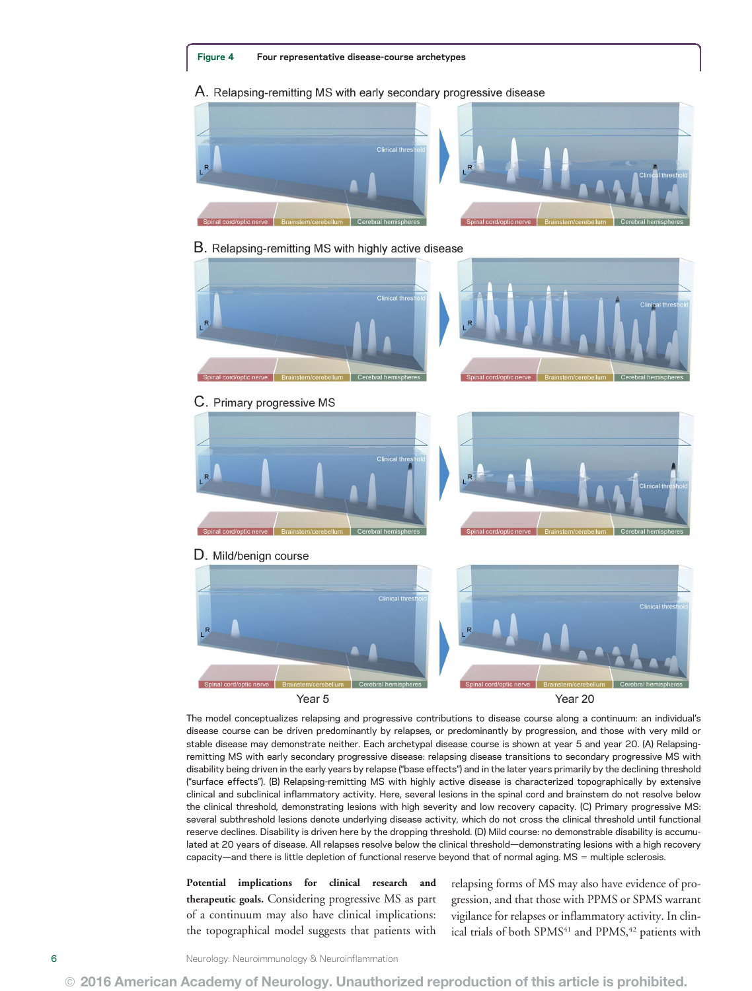Figure 4 Four representative disease-course archetypes

### A. Relapsing-remitting MS with early secondary progressive disease



B. Relapsing-remitting MS with highly active disease





D. Mild/benign course



The model conceptualizes relapsing and progressive contributions to disease course along a continuum: an individual's disease course can be driven predominantly by relapses, or predominantly by progression, and those with very mild or stable disease may demonstrate neither. Each archetypal disease course is shown at year 5 and year 20. (A) Relapsingremitting MS with early secondary progressive disease: relapsing disease transitions to secondary progressive MS with disability being driven in the early years by relapse ("base effects") and in the later years primarily by the declining threshold ("surface effects"). (B) Relapsing-remitting MS with highly active disease is characterized topographically by extensive clinical and subclinical inflammatory activity. Here, several lesions in the spinal cord and brainstem do not resolve below the clinical threshold, demonstrating lesions with high severity and low recovery capacity. (C) Primary progressive MS: several subthreshold lesions denote underlying disease activity, which do not cross the clinical threshold until functional reserve declines. Disability is driven here by the dropping threshold. (D) Mild course: no demonstrable disability is accumulated at 20 years of disease. All relapses resolve below the clinical threshold—demonstrating lesions with a high recovery capacity—and there is little depletion of functional reserve beyond that of normal aging. MS = multiple sclerosis.

Potential implications for clinical research and therapeutic goals. Considering progressive MS as part of a continuum may also have clinical implications: the topographical model suggests that patients with

relapsing forms of MS may also have evidence of progression, and that those with PPMS or SPMS warrant vigilance for relapses or inflammatory activity. In clinical trials of both SPMS<sup>41</sup> and PPMS,<sup>42</sup> patients with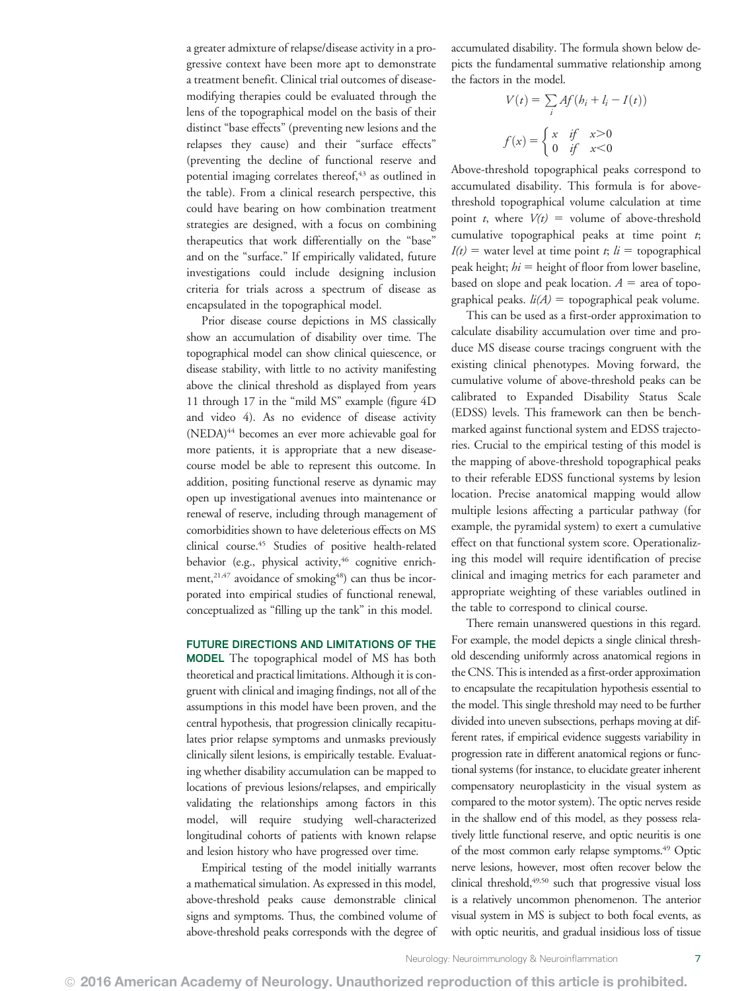a greater admixture of relapse/disease activity in a progressive context have been more apt to demonstrate a treatment benefit. Clinical trial outcomes of diseasemodifying therapies could be evaluated through the lens of the topographical model on the basis of their distinct "base effects" (preventing new lesions and the relapses they cause) and their "surface effects" (preventing the decline of functional reserve and potential imaging correlates thereof,<sup>43</sup> as outlined in the table). From a clinical research perspective, this could have bearing on how combination treatment strategies are designed, with a focus on combining therapeutics that work differentially on the "base" and on the "surface." If empirically validated, future investigations could include designing inclusion criteria for trials across a spectrum of disease as encapsulated in the topographical model.

Prior disease course depictions in MS classically show an accumulation of disability over time. The topographical model can show clinical quiescence, or disease stability, with little to no activity manifesting above the clinical threshold as displayed from years 11 through 17 in the "mild MS" example (figure 4D and video 4). As no evidence of disease activity (NEDA)<sup>44</sup> becomes an ever more achievable goal for more patients, it is appropriate that a new diseasecourse model be able to represent this outcome. In addition, positing functional reserve as dynamic may open up investigational avenues into maintenance or renewal of reserve, including through management of comorbidities shown to have deleterious effects on MS clinical course.45 Studies of positive health-related behavior (e.g., physical activity,<sup>46</sup> cognitive enrichment, $2^{1,47}$  avoidance of smoking $48$ ) can thus be incorporated into empirical studies of functional renewal, conceptualized as "filling up the tank" in this model.

# FUTURE DIRECTIONS AND LIMITATIONS OF THE

MODEL The topographical model of MS has both theoretical and practical limitations. Although it is congruent with clinical and imaging findings, not all of the assumptions in this model have been proven, and the central hypothesis, that progression clinically recapitulates prior relapse symptoms and unmasks previously clinically silent lesions, is empirically testable. Evaluating whether disability accumulation can be mapped to locations of previous lesions/relapses, and empirically validating the relationships among factors in this model, will require studying well-characterized longitudinal cohorts of patients with known relapse and lesion history who have progressed over time.

Empirical testing of the model initially warrants a mathematical simulation. As expressed in this model, above-threshold peaks cause demonstrable clinical signs and symptoms. Thus, the combined volume of above-threshold peaks corresponds with the degree of accumulated disability. The formula shown below depicts the fundamental summative relationship among the factors in the model.

$$
V(t) = \sum_{i} Af(h_i + l_i - I(t))
$$

$$
f(x) = \begin{cases} x & \text{if } x > 0\\ 0 & \text{if } x \le 0 \end{cases}
$$

Above-threshold topographical peaks correspond to accumulated disability. This formula is for abovethreshold topographical volume calculation at time point t, where  $V(t)$  = volume of above-threshold cumulative topographical peaks at time point  $t$ ;  $I(t)$  = water level at time point t;  $li$  = topographical peak height;  $hi$  = height of floor from lower baseline, based on slope and peak location.  $A =$  area of topographical peaks.  $li(A)$  = topographical peak volume.

This can be used as a first-order approximation to calculate disability accumulation over time and produce MS disease course tracings congruent with the existing clinical phenotypes. Moving forward, the cumulative volume of above-threshold peaks can be calibrated to Expanded Disability Status Scale (EDSS) levels. This framework can then be benchmarked against functional system and EDSS trajectories. Crucial to the empirical testing of this model is the mapping of above-threshold topographical peaks to their referable EDSS functional systems by lesion location. Precise anatomical mapping would allow multiple lesions affecting a particular pathway (for example, the pyramidal system) to exert a cumulative effect on that functional system score. Operationalizing this model will require identification of precise clinical and imaging metrics for each parameter and appropriate weighting of these variables outlined in the table to correspond to clinical course.

There remain unanswered questions in this regard. For example, the model depicts a single clinical threshold descending uniformly across anatomical regions in the CNS. This is intended as a first-order approximation to encapsulate the recapitulation hypothesis essential to the model. This single threshold may need to be further divided into uneven subsections, perhaps moving at different rates, if empirical evidence suggests variability in progression rate in different anatomical regions or functional systems (for instance, to elucidate greater inherent compensatory neuroplasticity in the visual system as compared to the motor system). The optic nerves reside in the shallow end of this model, as they possess relatively little functional reserve, and optic neuritis is one of the most common early relapse symptoms.<sup>49</sup> Optic nerve lesions, however, most often recover below the clinical threshold,<sup>49,50</sup> such that progressive visual loss is a relatively uncommon phenomenon. The anterior visual system in MS is subject to both focal events, as with optic neuritis, and gradual insidious loss of tissue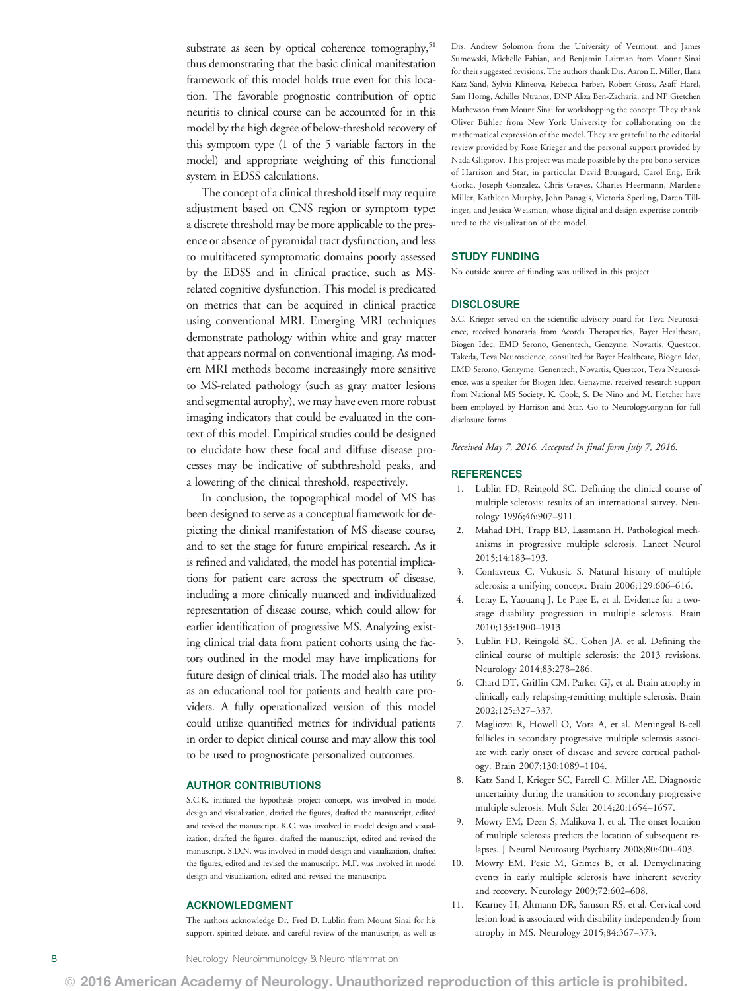substrate as seen by optical coherence tomography,<sup>51</sup> thus demonstrating that the basic clinical manifestation framework of this model holds true even for this location. The favorable prognostic contribution of optic neuritis to clinical course can be accounted for in this model by the high degree of below-threshold recovery of this symptom type (1 of the 5 variable factors in the model) and appropriate weighting of this functional system in EDSS calculations.

The concept of a clinical threshold itself may require adjustment based on CNS region or symptom type: a discrete threshold may be more applicable to the presence or absence of pyramidal tract dysfunction, and less to multifaceted symptomatic domains poorly assessed by the EDSS and in clinical practice, such as MSrelated cognitive dysfunction. This model is predicated on metrics that can be acquired in clinical practice using conventional MRI. Emerging MRI techniques demonstrate pathology within white and gray matter that appears normal on conventional imaging. As modern MRI methods become increasingly more sensitive to MS-related pathology (such as gray matter lesions and segmental atrophy), we may have even more robust imaging indicators that could be evaluated in the context of this model. Empirical studies could be designed to elucidate how these focal and diffuse disease processes may be indicative of subthreshold peaks, and a lowering of the clinical threshold, respectively.

In conclusion, the topographical model of MS has been designed to serve as a conceptual framework for depicting the clinical manifestation of MS disease course, and to set the stage for future empirical research. As it is refined and validated, the model has potential implications for patient care across the spectrum of disease, including a more clinically nuanced and individualized representation of disease course, which could allow for earlier identification of progressive MS. Analyzing existing clinical trial data from patient cohorts using the factors outlined in the model may have implications for future design of clinical trials. The model also has utility as an educational tool for patients and health care providers. A fully operationalized version of this model could utilize quantified metrics for individual patients in order to depict clinical course and may allow this tool to be used to prognosticate personalized outcomes.

### AUTHOR CONTRIBUTIONS

S.C.K. initiated the hypothesis project concept, was involved in model design and visualization, drafted the figures, drafted the manuscript, edited and revised the manuscript. K.C. was involved in model design and visualization, drafted the figures, drafted the manuscript, edited and revised the manuscript. S.D.N. was involved in model design and visualization, drafted the figures, edited and revised the manuscript. M.F. was involved in model design and visualization, edited and revised the manuscript.

### ACKNOWLEDGMENT

The authors acknowledge Dr. Fred D. Lublin from Mount Sinai for his support, spirited debate, and careful review of the manuscript, as well as

Drs. Andrew Solomon from the University of Vermont, and James Sumowski, Michelle Fabian, and Benjamin Laitman from Mount Sinai for their suggested revisions. The authors thank Drs. Aaron E. Miller, Ilana Katz Sand, Sylvia Klineova, Rebecca Farber, Robert Gross, Asaff Harel, Sam Horng, Achilles Ntranos, DNP Aliza Ben-Zacharia, and NP Gretchen Mathewson from Mount Sinai for workshopping the concept. They thank Oliver Bühler from New York University for collaborating on the mathematical expression of the model. They are grateful to the editorial review provided by Rose Krieger and the personal support provided by Nada Gligorov. This project was made possible by the pro bono services of Harrison and Star, in particular David Brungard, Carol Eng, Erik Gorka, Joseph Gonzalez, Chris Graves, Charles Heermann, Mardene Miller, Kathleen Murphy, John Panagis, Victoria Sperling, Daren Tillinger, and Jessica Weisman, whose digital and design expertise contributed to the visualization of the model.

### STUDY FUNDING

No outside source of funding was utilized in this project.

### **DISCLOSURE**

S.C. Krieger served on the scientific advisory board for Teva Neuroscience, received honoraria from Acorda Therapeutics, Bayer Healthcare, Biogen Idec, EMD Serono, Genentech, Genzyme, Novartis, Questcor, Takeda, Teva Neuroscience, consulted for Bayer Healthcare, Biogen Idec, EMD Serono, Genzyme, Genentech, Novartis, Questcor, Teva Neuroscience, was a speaker for Biogen Idec, Genzyme, received research support from National MS Society. K. Cook, S. De Nino and M. Fletcher have been employed by Harrison and Star. Go to [Neurology.org/nn](http://nn.neurology.org/lookup/doi/10.1212/NXI.0000000000000279) for full disclosure forms.

Received May 7, 2016. Accepted in final form July 7, 2016.

### REFERENCES

- 1. Lublin FD, Reingold SC. Defining the clinical course of multiple sclerosis: results of an international survey. Neurology 1996;46:907–911.
- 2. Mahad DH, Trapp BD, Lassmann H. Pathological mechanisms in progressive multiple sclerosis. Lancet Neurol 2015;14:183–193.
- 3. Confavreux C, Vukusic S. Natural history of multiple sclerosis: a unifying concept. Brain 2006;129:606–616.
- 4. Leray E, Yaouanq J, Le Page E, et al. Evidence for a twostage disability progression in multiple sclerosis. Brain 2010;133:1900–1913.
- 5. Lublin FD, Reingold SC, Cohen JA, et al. Defining the clinical course of multiple sclerosis: the 2013 revisions. Neurology 2014;83:278–286.
- 6. Chard DT, Griffin CM, Parker GJ, et al. Brain atrophy in clinically early relapsing-remitting multiple sclerosis. Brain 2002;125:327–337.
- 7. Magliozzi R, Howell O, Vora A, et al. Meningeal B-cell follicles in secondary progressive multiple sclerosis associate with early onset of disease and severe cortical pathology. Brain 2007;130:1089–1104.
- 8. Katz Sand I, Krieger SC, Farrell C, Miller AE. Diagnostic uncertainty during the transition to secondary progressive multiple sclerosis. Mult Scler 2014;20:1654–1657.
- 9. Mowry EM, Deen S, Malikova I, et al. The onset location of multiple sclerosis predicts the location of subsequent relapses. J Neurol Neurosurg Psychiatry 2008;80:400–403.
- 10. Mowry EM, Pesic M, Grimes B, et al. Demyelinating events in early multiple sclerosis have inherent severity and recovery. Neurology 2009;72:602–608.
- 11. Kearney H, Altmann DR, Samson RS, et al. Cervical cord lesion load is associated with disability independently from atrophy in MS. Neurology 2015;84:367–373.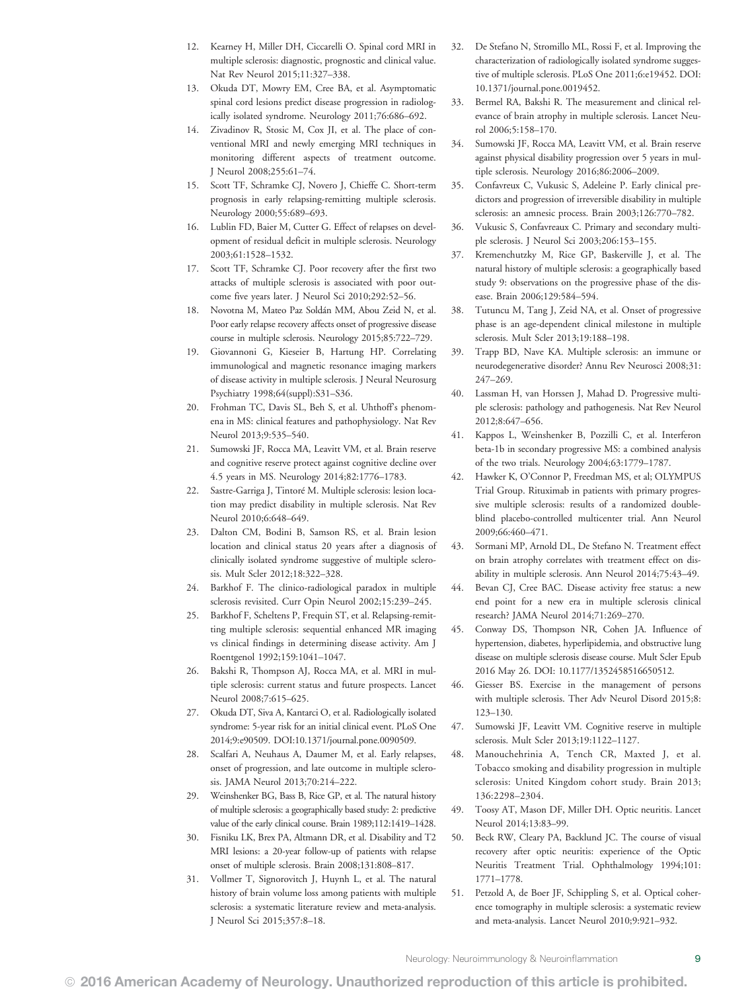- 12. Kearney H, Miller DH, Ciccarelli O. Spinal cord MRI in multiple sclerosis: diagnostic, prognostic and clinical value. Nat Rev Neurol 2015;11:327–338.
- 13. Okuda DT, Mowry EM, Cree BA, et al. Asymptomatic spinal cord lesions predict disease progression in radiologically isolated syndrome. Neurology 2011;76:686–692.
- 14. Zivadinov R, Stosic M, Cox JI, et al. The place of conventional MRI and newly emerging MRI techniques in monitoring different aspects of treatment outcome. J Neurol 2008;255:61–74.
- 15. Scott TF, Schramke CJ, Novero J, Chieffe C. Short-term prognosis in early relapsing-remitting multiple sclerosis. Neurology 2000;55:689–693.
- 16. Lublin FD, Baier M, Cutter G. Effect of relapses on development of residual deficit in multiple sclerosis. Neurology 2003;61:1528–1532.
- 17. Scott TF, Schramke CJ. Poor recovery after the first two attacks of multiple sclerosis is associated with poor outcome five years later. J Neurol Sci 2010;292:52–56.
- 18. Novotna M, Mateo Paz Soldán MM, Abou Zeid N, et al. Poor early relapse recovery affects onset of progressive disease course in multiple sclerosis. Neurology 2015;85:722–729.
- 19. Giovannoni G, Kieseier B, Hartung HP. Correlating immunological and magnetic resonance imaging markers of disease activity in multiple sclerosis. J Neural Neurosurg Psychiatry 1998;64(suppl):S31–S36.
- 20. Frohman TC, Davis SL, Beh S, et al. Uhthoff's phenomena in MS: clinical features and pathophysiology. Nat Rev Neurol 2013;9:535–540.
- 21. Sumowski JF, Rocca MA, Leavitt VM, et al. Brain reserve and cognitive reserve protect against cognitive decline over 4.5 years in MS. Neurology 2014;82:1776–1783.
- 22. Sastre-Garriga J, Tintoré M. Multiple sclerosis: lesion location may predict disability in multiple sclerosis. Nat Rev Neurol 2010;6:648–649.
- 23. Dalton CM, Bodini B, Samson RS, et al. Brain lesion location and clinical status 20 years after a diagnosis of clinically isolated syndrome suggestive of multiple sclerosis. Mult Scler 2012;18:322–328.
- 24. Barkhof F. The clinico-radiological paradox in multiple sclerosis revisited. Curr Opin Neurol 2002;15:239–245.
- 25. Barkhof F, Scheltens P, Frequin ST, et al. Relapsing-remitting multiple sclerosis: sequential enhanced MR imaging vs clinical findings in determining disease activity. Am J Roentgenol 1992;159:1041–1047.
- 26. Bakshi R, Thompson AJ, Rocca MA, et al. MRI in multiple sclerosis: current status and future prospects. Lancet Neurol 2008;7:615–625.
- 27. Okuda DT, Siva A, Kantarci O, et al. Radiologically isolated syndrome: 5-year risk for an initial clinical event. PLoS One 2014;9:e90509. DOI[:10.1371/journal.pone.0090509.](http://dx.doi.org/10.1371/journal.pone.0090509)
- 28. Scalfari A, Neuhaus A, Daumer M, et al. Early relapses, onset of progression, and late outcome in multiple sclerosis. JAMA Neurol 2013;70:214–222.
- 29. Weinshenker BG, Bass B, Rice GP, et al. The natural history of multiple sclerosis: a geographically based study: 2: predictive value of the early clinical course. Brain 1989;112:1419–1428.
- 30. Fisniku LK, Brex PA, Altmann DR, et al. Disability and T2 MRI lesions: a 20-year follow-up of patients with relapse onset of multiple sclerosis. Brain 2008;131:808–817.
- 31. Vollmer T, Signorovitch J, Huynh L, et al. The natural history of brain volume loss among patients with multiple sclerosis: a systematic literature review and meta-analysis. J Neurol Sci 2015;357:8–18.
- 32. De Stefano N, Stromillo ML, Rossi F, et al. Improving the characterization of radiologically isolated syndrome suggestive of multiple sclerosis. PLoS One 2011;6:e19452. DOI: [10.1371/journal.pone.0019452](http://dx.doi.org/10.1371/journal.pone.0019452).
- 33. Bermel RA, Bakshi R. The measurement and clinical relevance of brain atrophy in multiple sclerosis. Lancet Neurol 2006;5:158–170.
- 34. Sumowski JF, Rocca MA, Leavitt VM, et al. Brain reserve against physical disability progression over 5 years in multiple sclerosis. Neurology 2016;86:2006–2009.
- 35. Confavreux C, Vukusic S, Adeleine P. Early clinical predictors and progression of irreversible disability in multiple sclerosis: an amnesic process. Brain 2003;126:770–782.
- 36. Vukusic S, Confavreaux C. Primary and secondary multiple sclerosis. J Neurol Sci 2003;206:153–155.
- 37. Kremenchutzky M, Rice GP, Baskerville J, et al. The natural history of multiple sclerosis: a geographically based study 9: observations on the progressive phase of the disease. Brain 2006;129:584–594.
- 38. Tutuncu M, Tang J, Zeid NA, et al. Onset of progressive phase is an age-dependent clinical milestone in multiple sclerosis. Mult Scler 2013;19:188–198.
- 39. Trapp BD, Nave KA. Multiple sclerosis: an immune or neurodegenerative disorder? Annu Rev Neurosci 2008;31: 247–269.
- 40. Lassman H, van Horssen J, Mahad D. Progressive multiple sclerosis: pathology and pathogenesis. Nat Rev Neurol 2012;8:647–656.
- 41. Kappos L, Weinshenker B, Pozzilli C, et al. Interferon beta-1b in secondary progressive MS: a combined analysis of the two trials. Neurology 2004;63:1779–1787.
- 42. Hawker K, O'Connor P, Freedman MS, et al; OLYMPUS Trial Group. Rituximab in patients with primary progressive multiple sclerosis: results of a randomized doubleblind placebo-controlled multicenter trial. Ann Neurol 2009;66:460–471.
- 43. Sormani MP, Arnold DL, De Stefano N. Treatment effect on brain atrophy correlates with treatment effect on disability in multiple sclerosis. Ann Neurol 2014;75:43–49.
- 44. Bevan CJ, Cree BAC. Disease activity free status: a new end point for a new era in multiple sclerosis clinical research? JAMA Neurol 2014;71:269–270.
- 45. Conway DS, Thompson NR, Cohen JA. Influence of hypertension, diabetes, hyperlipidemia, and obstructive lung disease on multiple sclerosis disease course. Mult Scler Epub 2016 May 26. DOI: [10.1177/1352458516650512.](http://dx.doi.org/10.1177/1352458516650512)
- 46. Giesser BS. Exercise in the management of persons with multiple sclerosis. Ther Adv Neurol Disord 2015;8: 123–130.
- 47. Sumowski JF, Leavitt VM. Cognitive reserve in multiple sclerosis. Mult Scler 2013;19:1122–1127.
- 48. Manouchehrinia A, Tench CR, Maxted J, et al. Tobacco smoking and disability progression in multiple sclerosis: United Kingdom cohort study. Brain 2013; 136:2298–2304.
- 49. Toosy AT, Mason DF, Miller DH. Optic neuritis. Lancet Neurol 2014;13:83–99.
- 50. Beck RW, Cleary PA, Backlund JC. The course of visual recovery after optic neuritis: experience of the Optic Neuritis Treatment Trial. Ophthalmology 1994;101: 1771–1778.
- 51. Petzold A, de Boer JF, Schippling S, et al. Optical coherence tomography in multiple sclerosis: a systematic review and meta-analysis. Lancet Neurol 2010;9:921–932.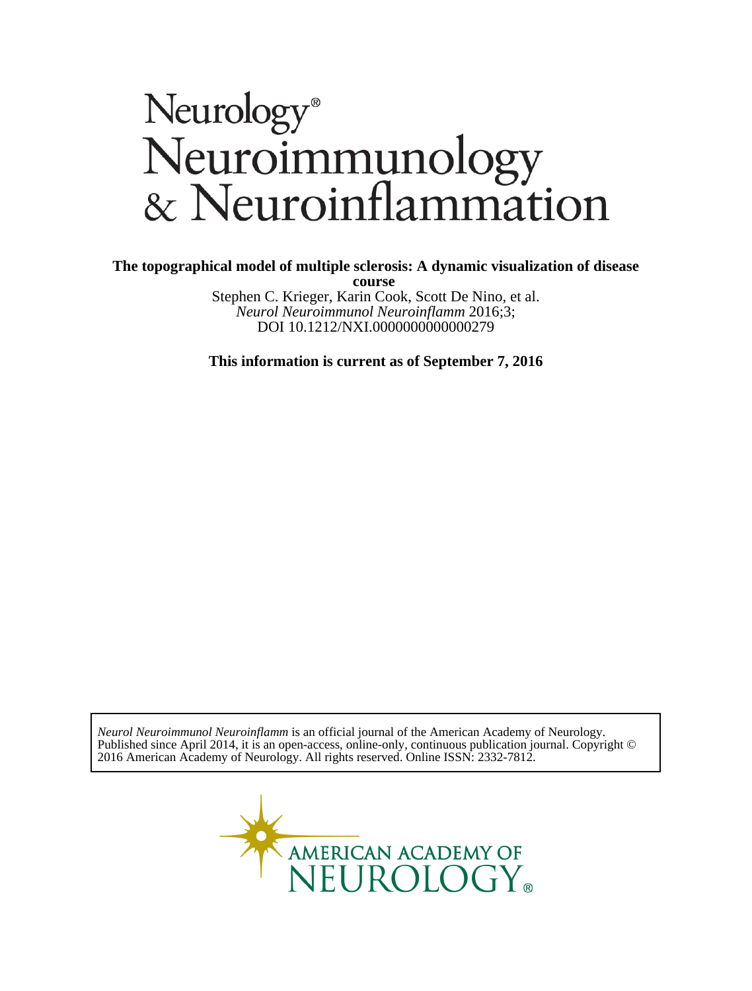# Neurology®<br>Neuroimmunology<br>& Neuroinflammation

Stephen C. Krieger, Karin Cook, Scott De Nino, et al. **course The topographical model of multiple sclerosis: A dynamic visualization of disease**

DOI 10.1212/NXI.0000000000000279 *Neurol Neuroimmunol Neuroinflamm* 2016;3;

**This information is current as of September 7, 2016**

2016 American Academy of Neurology. All rights reserved. Online ISSN: 2332-7812. Published since April 2014, it is an open-access, online-only, continuous publication journal. Copyright © *Neurol Neuroimmunol Neuroinflamm* is an official journal of the American Academy of Neurology.